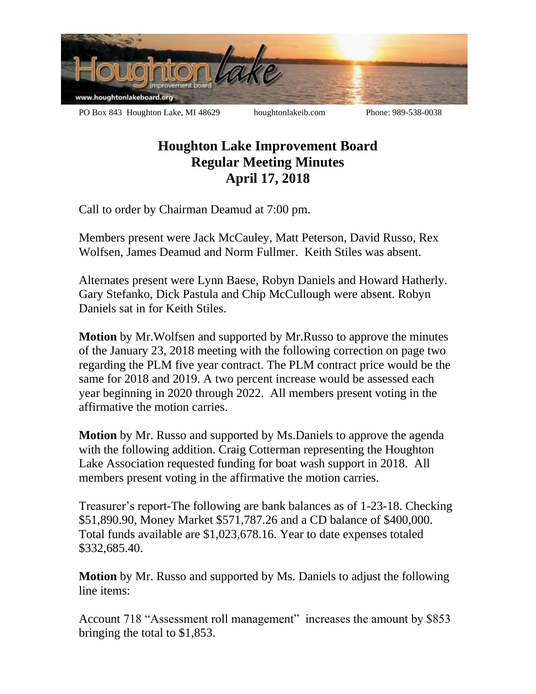

## **Houghton Lake Improvement Board Regular Meeting Minutes April 17, 2018**

Call to order by Chairman Deamud at 7:00 pm.

Members present were Jack McCauley, Matt Peterson, David Russo, Rex Wolfsen, James Deamud and Norm Fullmer. Keith Stiles was absent.

Alternates present were Lynn Baese, Robyn Daniels and Howard Hatherly. Gary Stefanko, Dick Pastula and Chip McCullough were absent. Robyn Daniels sat in for Keith Stiles.

**Motion** by Mr.Wolfsen and supported by Mr.Russo to approve the minutes of the January 23, 2018 meeting with the following correction on page two regarding the PLM five year contract. The PLM contract price would be the same for 2018 and 2019. A two percent increase would be assessed each year beginning in 2020 through 2022. All members present voting in the affirmative the motion carries.

**Motion** by Mr. Russo and supported by Ms.Daniels to approve the agenda with the following addition. Craig Cotterman representing the Houghton Lake Association requested funding for boat wash support in 2018. All members present voting in the affirmative the motion carries.

Treasurer's report-The following are bank balances as of 1-23-18. Checking \$51,890.90, Money Market \$571,787.26 and a CD balance of \$400,000. Total funds available are \$1,023,678.16. Year to date expenses totaled \$332,685.40.

**Motion** by Mr. Russo and supported by Ms. Daniels to adjust the following line items:

Account 718 "Assessment roll management" increases the amount by \$853 bringing the total to \$1,853.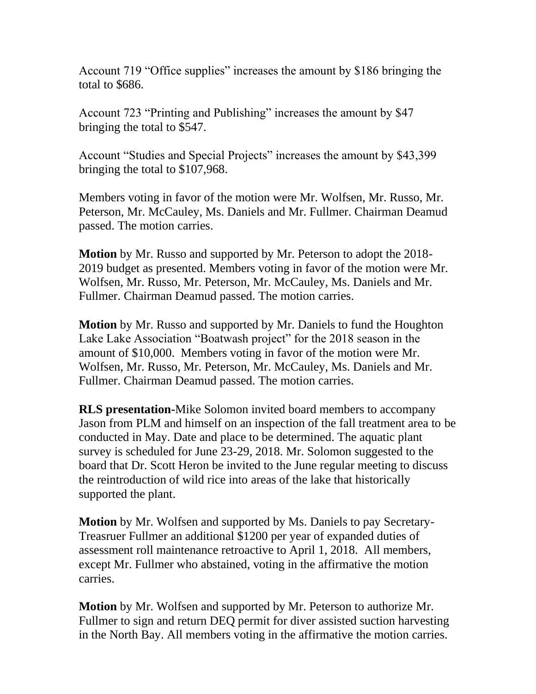Account 719 "Office supplies" increases the amount by \$186 bringing the total to \$686.

Account 723 "Printing and Publishing" increases the amount by \$47 bringing the total to \$547.

Account "Studies and Special Projects" increases the amount by \$43,399 bringing the total to \$107,968.

Members voting in favor of the motion were Mr. Wolfsen, Mr. Russo, Mr. Peterson, Mr. McCauley, Ms. Daniels and Mr. Fullmer. Chairman Deamud passed. The motion carries.

**Motion** by Mr. Russo and supported by Mr. Peterson to adopt the 2018- 2019 budget as presented. Members voting in favor of the motion were Mr. Wolfsen, Mr. Russo, Mr. Peterson, Mr. McCauley, Ms. Daniels and Mr. Fullmer. Chairman Deamud passed. The motion carries.

**Motion** by Mr. Russo and supported by Mr. Daniels to fund the Houghton Lake Lake Association "Boatwash project" for the 2018 season in the amount of \$10,000. Members voting in favor of the motion were Mr. Wolfsen, Mr. Russo, Mr. Peterson, Mr. McCauley, Ms. Daniels and Mr. Fullmer. Chairman Deamud passed. The motion carries.

**RLS presentation-**Mike Solomon invited board members to accompany Jason from PLM and himself on an inspection of the fall treatment area to be conducted in May. Date and place to be determined. The aquatic plant survey is scheduled for June 23-29, 2018. Mr. Solomon suggested to the board that Dr. Scott Heron be invited to the June regular meeting to discuss the reintroduction of wild rice into areas of the lake that historically supported the plant.

**Motion** by Mr. Wolfsen and supported by Ms. Daniels to pay Secretary-Treasruer Fullmer an additional \$1200 per year of expanded duties of assessment roll maintenance retroactive to April 1, 2018. All members, except Mr. Fullmer who abstained, voting in the affirmative the motion carries.

**Motion** by Mr. Wolfsen and supported by Mr. Peterson to authorize Mr. Fullmer to sign and return DEQ permit for diver assisted suction harvesting in the North Bay. All members voting in the affirmative the motion carries.